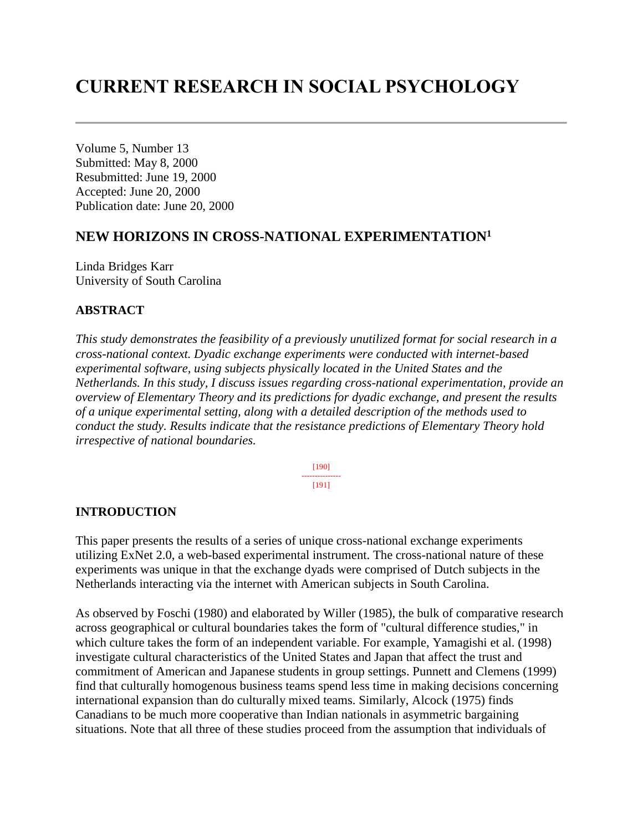# **CURRENT RESEARCH IN SOCIAL PSYCHOLOGY**

Volume 5, Number 13 Submitted: May 8, 2000 Resubmitted: June 19, 2000 Accepted: June 20, 2000 Publication date: June 20, 2000

## **NEW HORIZONS IN CROSS-NATIONAL EXPERIMENTATION<sup>1</sup>**

Linda Bridges Karr University of South Carolina

#### **ABSTRACT**

*This study demonstrates the feasibility of a previously unutilized format for social research in a cross-national context. Dyadic exchange experiments were conducted with internet-based experimental software, using subjects physically located in the United States and the Netherlands. In this study, I discuss issues regarding cross-national experimentation, provide an overview of Elementary Theory and its predictions for dyadic exchange, and present the results of a unique experimental setting, along with a detailed description of the methods used to conduct the study. Results indicate that the resistance predictions of Elementary Theory hold irrespective of national boundaries.*

> [190] --------------- [191]

#### **INTRODUCTION**

This paper presents the results of a series of unique cross-national exchange experiments utilizing ExNet 2.0, a web-based experimental instrument. The cross-national nature of these experiments was unique in that the exchange dyads were comprised of Dutch subjects in the Netherlands interacting via the internet with American subjects in South Carolina.

As observed by Foschi (1980) and elaborated by Willer (1985), the bulk of comparative research across geographical or cultural boundaries takes the form of "cultural difference studies," in which culture takes the form of an independent variable. For example, Yamagishi et al. (1998) investigate cultural characteristics of the United States and Japan that affect the trust and commitment of American and Japanese students in group settings. Punnett and Clemens (1999) find that culturally homogenous business teams spend less time in making decisions concerning international expansion than do culturally mixed teams. Similarly, Alcock (1975) finds Canadians to be much more cooperative than Indian nationals in asymmetric bargaining situations. Note that all three of these studies proceed from the assumption that individuals of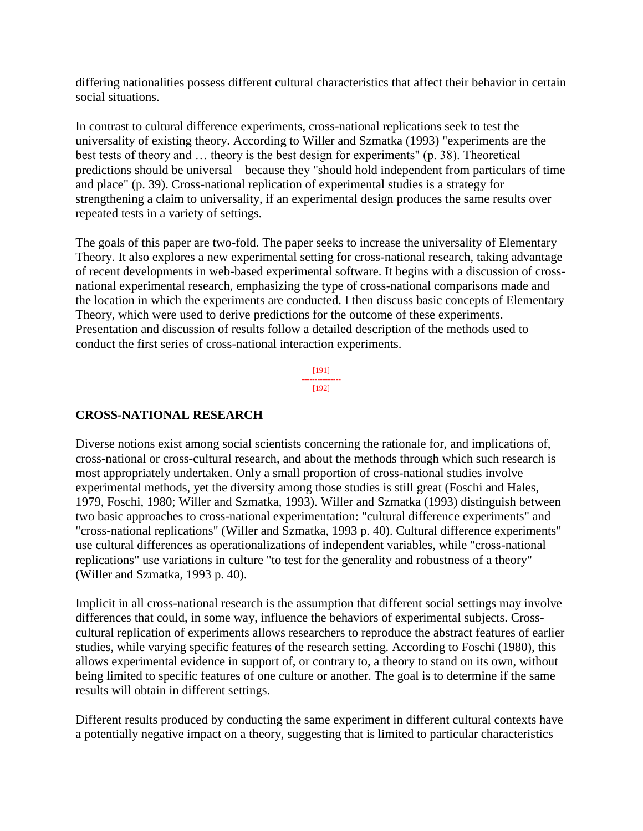differing nationalities possess different cultural characteristics that affect their behavior in certain social situations.

In contrast to cultural difference experiments, cross-national replications seek to test the universality of existing theory. According to Willer and Szmatka (1993) "experiments are the best tests of theory and … theory is the best design for experiments" (p. 38). Theoretical predictions should be universal – because they "should hold independent from particulars of time and place" (p. 39). Cross-national replication of experimental studies is a strategy for strengthening a claim to universality, if an experimental design produces the same results over repeated tests in a variety of settings.

The goals of this paper are two-fold. The paper seeks to increase the universality of Elementary Theory. It also explores a new experimental setting for cross-national research, taking advantage of recent developments in web-based experimental software. It begins with a discussion of crossnational experimental research, emphasizing the type of cross-national comparisons made and the location in which the experiments are conducted. I then discuss basic concepts of Elementary Theory, which were used to derive predictions for the outcome of these experiments. Presentation and discussion of results follow a detailed description of the methods used to conduct the first series of cross-national interaction experiments.

> [191] --------------- [192]

## **CROSS-NATIONAL RESEARCH**

Diverse notions exist among social scientists concerning the rationale for, and implications of, cross-national or cross-cultural research, and about the methods through which such research is most appropriately undertaken. Only a small proportion of cross-national studies involve experimental methods, yet the diversity among those studies is still great (Foschi and Hales, 1979, Foschi, 1980; Willer and Szmatka, 1993). Willer and Szmatka (1993) distinguish between two basic approaches to cross-national experimentation: "cultural difference experiments" and "cross-national replications" (Willer and Szmatka, 1993 p. 40). Cultural difference experiments" use cultural differences as operationalizations of independent variables, while "cross-national replications" use variations in culture "to test for the generality and robustness of a theory" (Willer and Szmatka, 1993 p. 40).

Implicit in all cross-national research is the assumption that different social settings may involve differences that could, in some way, influence the behaviors of experimental subjects. Crosscultural replication of experiments allows researchers to reproduce the abstract features of earlier studies, while varying specific features of the research setting. According to Foschi (1980), this allows experimental evidence in support of, or contrary to, a theory to stand on its own, without being limited to specific features of one culture or another. The goal is to determine if the same results will obtain in different settings.

Different results produced by conducting the same experiment in different cultural contexts have a potentially negative impact on a theory, suggesting that is limited to particular characteristics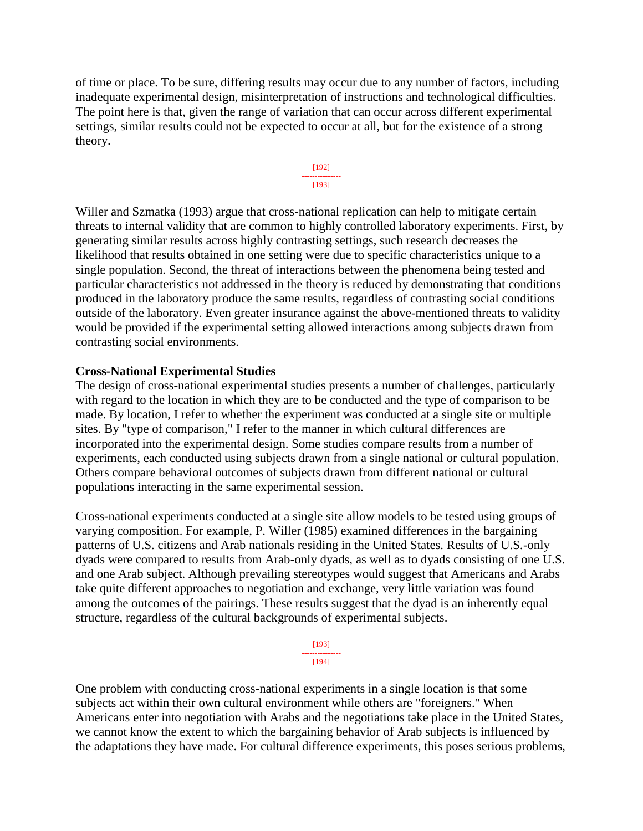of time or place. To be sure, differing results may occur due to any number of factors, including inadequate experimental design, misinterpretation of instructions and technological difficulties. The point here is that, given the range of variation that can occur across different experimental settings, similar results could not be expected to occur at all, but for the existence of a strong theory.



Willer and Szmatka (1993) argue that cross-national replication can help to mitigate certain threats to internal validity that are common to highly controlled laboratory experiments. First, by generating similar results across highly contrasting settings, such research decreases the likelihood that results obtained in one setting were due to specific characteristics unique to a single population. Second, the threat of interactions between the phenomena being tested and particular characteristics not addressed in the theory is reduced by demonstrating that conditions produced in the laboratory produce the same results, regardless of contrasting social conditions outside of the laboratory. Even greater insurance against the above-mentioned threats to validity would be provided if the experimental setting allowed interactions among subjects drawn from contrasting social environments.

#### **Cross-National Experimental Studies**

The design of cross-national experimental studies presents a number of challenges, particularly with regard to the location in which they are to be conducted and the type of comparison to be made. By location, I refer to whether the experiment was conducted at a single site or multiple sites. By "type of comparison," I refer to the manner in which cultural differences are incorporated into the experimental design. Some studies compare results from a number of experiments, each conducted using subjects drawn from a single national or cultural population. Others compare behavioral outcomes of subjects drawn from different national or cultural populations interacting in the same experimental session.

Cross-national experiments conducted at a single site allow models to be tested using groups of varying composition. For example, P. Willer (1985) examined differences in the bargaining patterns of U.S. citizens and Arab nationals residing in the United States. Results of U.S.-only dyads were compared to results from Arab-only dyads, as well as to dyads consisting of one U.S. and one Arab subject. Although prevailing stereotypes would suggest that Americans and Arabs take quite different approaches to negotiation and exchange, very little variation was found among the outcomes of the pairings. These results suggest that the dyad is an inherently equal structure, regardless of the cultural backgrounds of experimental subjects.

> [193] --------------- [194]

One problem with conducting cross-national experiments in a single location is that some subjects act within their own cultural environment while others are "foreigners." When Americans enter into negotiation with Arabs and the negotiations take place in the United States, we cannot know the extent to which the bargaining behavior of Arab subjects is influenced by the adaptations they have made. For cultural difference experiments, this poses serious problems,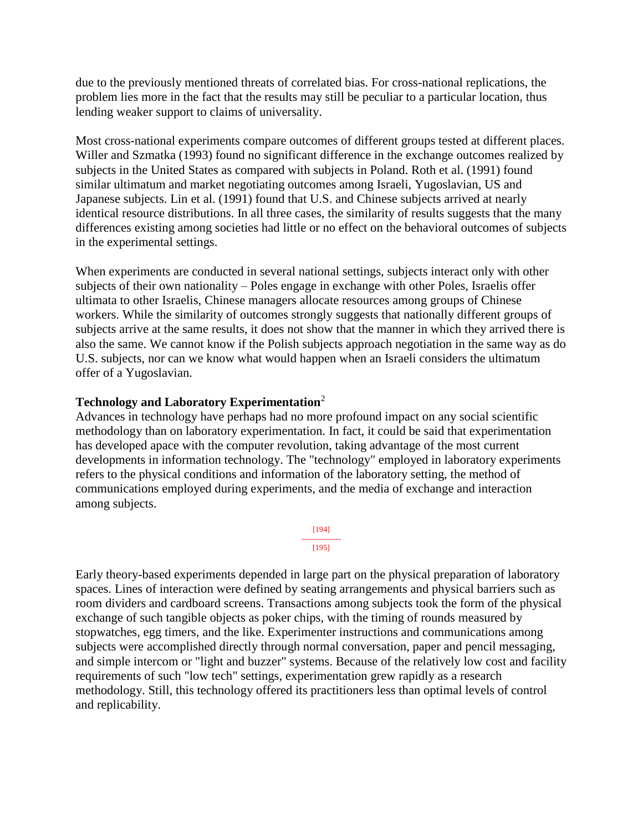due to the previously mentioned threats of correlated bias. For cross-national replications, the problem lies more in the fact that the results may still be peculiar to a particular location, thus lending weaker support to claims of universality.

Most cross-national experiments compare outcomes of different groups tested at different places. Willer and Szmatka (1993) found no significant difference in the exchange outcomes realized by subjects in the United States as compared with subjects in Poland. Roth et al. (1991) found similar ultimatum and market negotiating outcomes among Israeli, Yugoslavian, US and Japanese subjects. Lin et al. (1991) found that U.S. and Chinese subjects arrived at nearly identical resource distributions. In all three cases, the similarity of results suggests that the many differences existing among societies had little or no effect on the behavioral outcomes of subjects in the experimental settings.

When experiments are conducted in several national settings, subjects interact only with other subjects of their own nationality – Poles engage in exchange with other Poles, Israelis offer ultimata to other Israelis, Chinese managers allocate resources among groups of Chinese workers. While the similarity of outcomes strongly suggests that nationally different groups of subjects arrive at the same results, it does not show that the manner in which they arrived there is also the same. We cannot know if the Polish subjects approach negotiation in the same way as do U.S. subjects, nor can we know what would happen when an Israeli considers the ultimatum offer of a Yugoslavian.

## **Technology and Laboratory Experimentation**<sup>2</sup>

Advances in technology have perhaps had no more profound impact on any social scientific methodology than on laboratory experimentation. In fact, it could be said that experimentation has developed apace with the computer revolution, taking advantage of the most current developments in information technology. The "technology" employed in laboratory experiments refers to the physical conditions and information of the laboratory setting, the method of communications employed during experiments, and the media of exchange and interaction among subjects.

> [194] --------------- [195]

Early theory-based experiments depended in large part on the physical preparation of laboratory spaces. Lines of interaction were defined by seating arrangements and physical barriers such as room dividers and cardboard screens. Transactions among subjects took the form of the physical exchange of such tangible objects as poker chips, with the timing of rounds measured by stopwatches, egg timers, and the like. Experimenter instructions and communications among subjects were accomplished directly through normal conversation, paper and pencil messaging, and simple intercom or "light and buzzer" systems. Because of the relatively low cost and facility requirements of such "low tech" settings, experimentation grew rapidly as a research methodology. Still, this technology offered its practitioners less than optimal levels of control and replicability.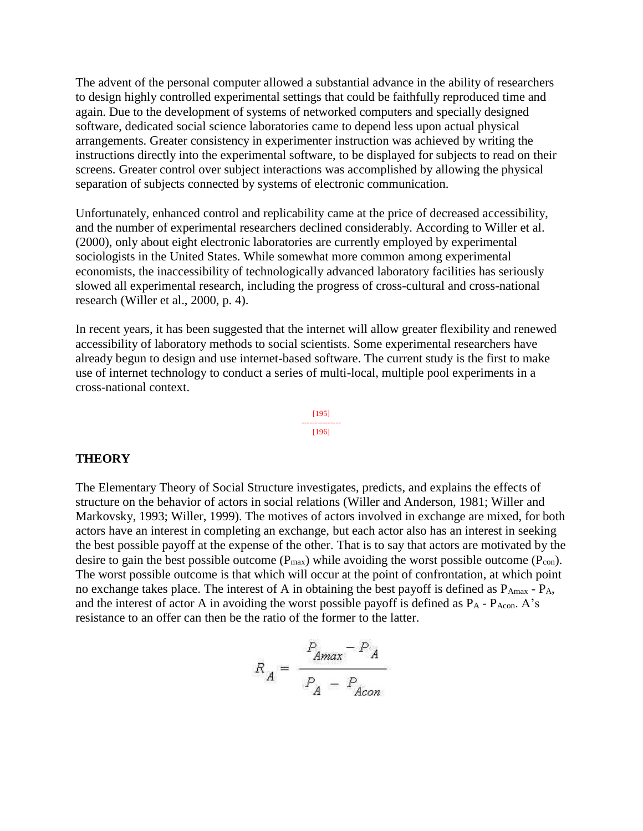The advent of the personal computer allowed a substantial advance in the ability of researchers to design highly controlled experimental settings that could be faithfully reproduced time and again. Due to the development of systems of networked computers and specially designed software, dedicated social science laboratories came to depend less upon actual physical arrangements. Greater consistency in experimenter instruction was achieved by writing the instructions directly into the experimental software, to be displayed for subjects to read on their screens. Greater control over subject interactions was accomplished by allowing the physical separation of subjects connected by systems of electronic communication.

Unfortunately, enhanced control and replicability came at the price of decreased accessibility, and the number of experimental researchers declined considerably. According to Willer et al. (2000), only about eight electronic laboratories are currently employed by experimental sociologists in the United States. While somewhat more common among experimental economists, the inaccessibility of technologically advanced laboratory facilities has seriously slowed all experimental research, including the progress of cross-cultural and cross-national research (Willer et al., 2000, p. 4).

In recent years, it has been suggested that the internet will allow greater flexibility and renewed accessibility of laboratory methods to social scientists. Some experimental researchers have already begun to design and use internet-based software. The current study is the first to make use of internet technology to conduct a series of multi-local, multiple pool experiments in a cross-national context.

> [195] --------------- [196]

#### **THEORY**

The Elementary Theory of Social Structure investigates, predicts, and explains the effects of structure on the behavior of actors in social relations (Willer and Anderson, 1981; Willer and Markovsky, 1993; Willer, 1999). The motives of actors involved in exchange are mixed, for both actors have an interest in completing an exchange, but each actor also has an interest in seeking the best possible payoff at the expense of the other. That is to say that actors are motivated by the desire to gain the best possible outcome  $(P_{max})$  while avoiding the worst possible outcome  $(P_{con})$ . The worst possible outcome is that which will occur at the point of confrontation, at which point no exchange takes place. The interest of A in obtaining the best payoff is defined as  $P_{Amax} - P_A$ , and the interest of actor A in avoiding the worst possible payoff is defined as  $P_A$  -  $P_{Acon}$ . A's resistance to an offer can then be the ratio of the former to the latter.

$$
R_A = \frac{P_{Amax} - P_A}{P_A - P_{Acon}}
$$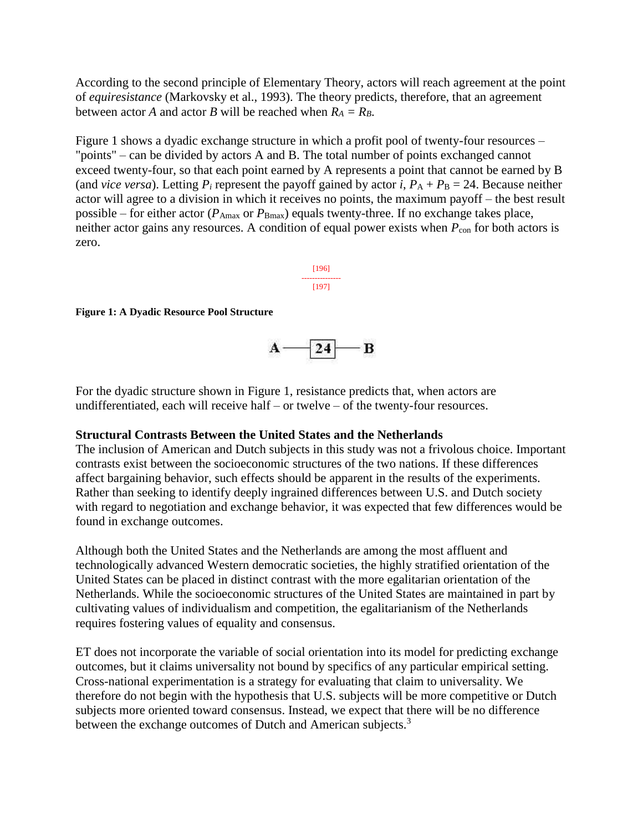According to the second principle of Elementary Theory, actors will reach agreement at the point of *equiresistance* (Markovsky et al., 1993). The theory predicts, therefore, that an agreement between actor *A* and actor *B* will be reached when  $R_A = R_B$ .

Figure 1 shows a dyadic exchange structure in which a profit pool of twenty-four resources – "points" – can be divided by actors A and B. The total number of points exchanged cannot exceed twenty-four, so that each point earned by A represents a point that cannot be earned by B (and *vice versa*). Letting  $P_i$  represent the payoff gained by actor *i*,  $P_A + P_B = 24$ . Because neither actor will agree to a division in which it receives no points, the maximum payoff – the best result possible – for either actor ( $P_{\text{Amax}}$  or  $P_{\text{Bmax}}$ ) equals twenty-three. If no exchange takes place, neither actor gains any resources. A condition of equal power exists when  $P_{\text{con}}$  for both actors is zero.

> [196] --------------- [197]

#### **Figure 1: A Dyadic Resource Pool Structure**



For the dyadic structure shown in Figure 1, resistance predicts that, when actors are undifferentiated, each will receive half – or twelve – of the twenty-four resources.

#### **Structural Contrasts Between the United States and the Netherlands**

The inclusion of American and Dutch subjects in this study was not a frivolous choice. Important contrasts exist between the socioeconomic structures of the two nations. If these differences affect bargaining behavior, such effects should be apparent in the results of the experiments. Rather than seeking to identify deeply ingrained differences between U.S. and Dutch society with regard to negotiation and exchange behavior, it was expected that few differences would be found in exchange outcomes.

Although both the United States and the Netherlands are among the most affluent and technologically advanced Western democratic societies, the highly stratified orientation of the United States can be placed in distinct contrast with the more egalitarian orientation of the Netherlands. While the socioeconomic structures of the United States are maintained in part by cultivating values of individualism and competition, the egalitarianism of the Netherlands requires fostering values of equality and consensus.

ET does not incorporate the variable of social orientation into its model for predicting exchange outcomes, but it claims universality not bound by specifics of any particular empirical setting. Cross-national experimentation is a strategy for evaluating that claim to universality. We therefore do not begin with the hypothesis that U.S. subjects will be more competitive or Dutch subjects more oriented toward consensus. Instead, we expect that there will be no difference between the exchange outcomes of Dutch and American subjects.<sup>3</sup>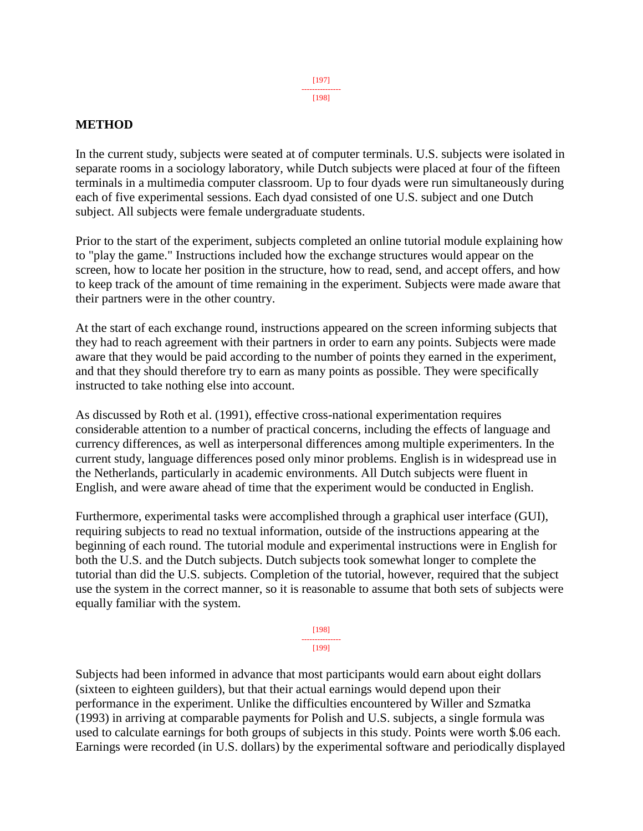### **METHOD**

In the current study, subjects were seated at of computer terminals. U.S. subjects were isolated in separate rooms in a sociology laboratory, while Dutch subjects were placed at four of the fifteen terminals in a multimedia computer classroom. Up to four dyads were run simultaneously during each of five experimental sessions. Each dyad consisted of one U.S. subject and one Dutch subject. All subjects were female undergraduate students.

Prior to the start of the experiment, subjects completed an online tutorial module explaining how to "play the game." Instructions included how the exchange structures would appear on the screen, how to locate her position in the structure, how to read, send, and accept offers, and how to keep track of the amount of time remaining in the experiment. Subjects were made aware that their partners were in the other country.

At the start of each exchange round, instructions appeared on the screen informing subjects that they had to reach agreement with their partners in order to earn any points. Subjects were made aware that they would be paid according to the number of points they earned in the experiment, and that they should therefore try to earn as many points as possible. They were specifically instructed to take nothing else into account.

As discussed by Roth et al. (1991), effective cross-national experimentation requires considerable attention to a number of practical concerns, including the effects of language and currency differences, as well as interpersonal differences among multiple experimenters. In the current study, language differences posed only minor problems. English is in widespread use in the Netherlands, particularly in academic environments. All Dutch subjects were fluent in English, and were aware ahead of time that the experiment would be conducted in English.

Furthermore, experimental tasks were accomplished through a graphical user interface (GUI), requiring subjects to read no textual information, outside of the instructions appearing at the beginning of each round. The tutorial module and experimental instructions were in English for both the U.S. and the Dutch subjects. Dutch subjects took somewhat longer to complete the tutorial than did the U.S. subjects. Completion of the tutorial, however, required that the subject use the system in the correct manner, so it is reasonable to assume that both sets of subjects were equally familiar with the system.

> [198] --------------- [199]

Subjects had been informed in advance that most participants would earn about eight dollars (sixteen to eighteen guilders), but that their actual earnings would depend upon their performance in the experiment. Unlike the difficulties encountered by Willer and Szmatka (1993) in arriving at comparable payments for Polish and U.S. subjects, a single formula was used to calculate earnings for both groups of subjects in this study. Points were worth \$.06 each. Earnings were recorded (in U.S. dollars) by the experimental software and periodically displayed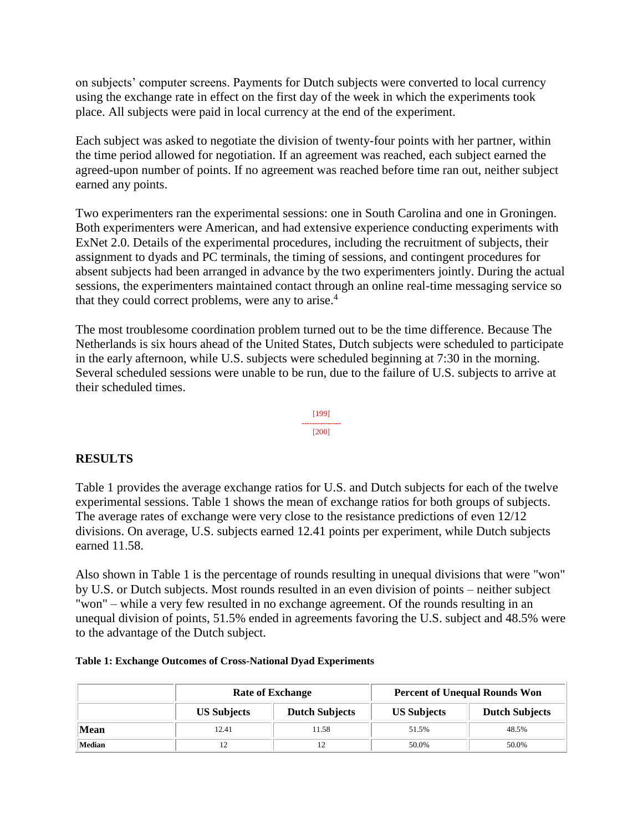on subjects' computer screens. Payments for Dutch subjects were converted to local currency using the exchange rate in effect on the first day of the week in which the experiments took place. All subjects were paid in local currency at the end of the experiment.

Each subject was asked to negotiate the division of twenty-four points with her partner, within the time period allowed for negotiation. If an agreement was reached, each subject earned the agreed-upon number of points. If no agreement was reached before time ran out, neither subject earned any points.

Two experimenters ran the experimental sessions: one in South Carolina and one in Groningen. Both experimenters were American, and had extensive experience conducting experiments with ExNet 2.0. Details of the experimental procedures, including the recruitment of subjects, their assignment to dyads and PC terminals, the timing of sessions, and contingent procedures for absent subjects had been arranged in advance by the two experimenters jointly. During the actual sessions, the experimenters maintained contact through an online real-time messaging service so that they could correct problems, were any to arise.<sup>4</sup>

The most troublesome coordination problem turned out to be the time difference. Because The Netherlands is six hours ahead of the United States, Dutch subjects were scheduled to participate in the early afternoon, while U.S. subjects were scheduled beginning at 7:30 in the morning. Several scheduled sessions were unable to be run, due to the failure of U.S. subjects to arrive at their scheduled times.

> [199] --------------- [200]

#### **RESULTS**

Table 1 provides the average exchange ratios for U.S. and Dutch subjects for each of the twelve experimental sessions. Table 1 shows the mean of exchange ratios for both groups of subjects. The average rates of exchange were very close to the resistance predictions of even 12/12 divisions. On average, U.S. subjects earned 12.41 points per experiment, while Dutch subjects earned 11.58.

Also shown in Table 1 is the percentage of rounds resulting in unequal divisions that were "won" by U.S. or Dutch subjects. Most rounds resulted in an even division of points – neither subject "won" – while a very few resulted in no exchange agreement. Of the rounds resulting in an unequal division of points, 51.5% ended in agreements favoring the U.S. subject and 48.5% were to the advantage of the Dutch subject.

| Table 1: Exchange Outcomes of Cross-National Dyad Experiments |  |  |  |  |
|---------------------------------------------------------------|--|--|--|--|
|                                                               |  |  |  |  |

|        | <b>Rate of Exchange</b> |                       | <b>Percent of Unequal Rounds Won</b> |                       |  |
|--------|-------------------------|-----------------------|--------------------------------------|-----------------------|--|
|        | <b>US Subjects</b>      | <b>Dutch Subjects</b> | <b>US Subjects</b>                   | <b>Dutch Subjects</b> |  |
| Mean   | 12.41                   | 11.58                 | 51.5%                                | 48.5%                 |  |
| Median | 12                      |                       | 50.0%                                | 50.0%                 |  |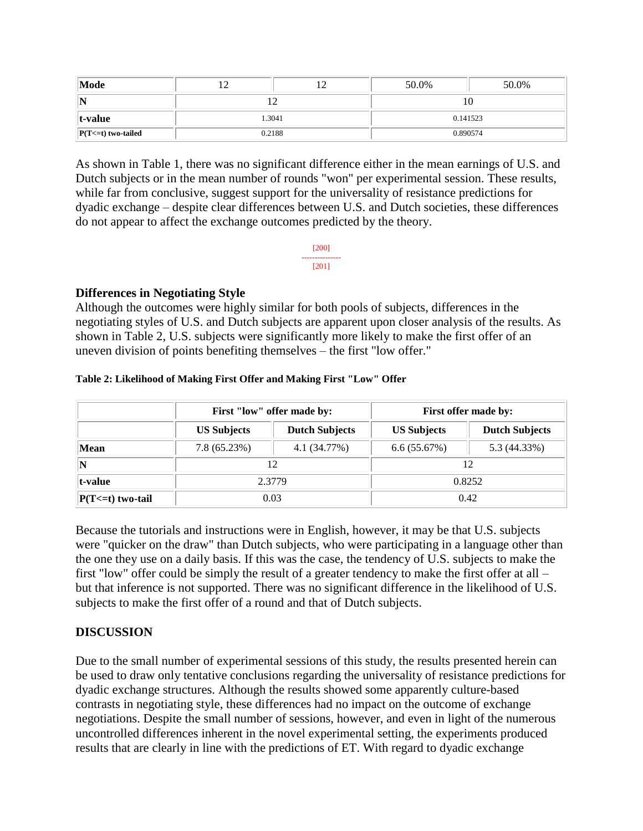| Mode                 |        |        | 50.0%    | 50.0%    |  |  |
|----------------------|--------|--------|----------|----------|--|--|
| N                    |        |        |          |          |  |  |
| $ t$ -value          |        | 1.3041 | 0.141523 |          |  |  |
| $ P(T=1)$ two-tailed | 0.2188 |        |          | 0.890574 |  |  |

As shown in Table 1, there was no significant difference either in the mean earnings of U.S. and Dutch subjects or in the mean number of rounds "won" per experimental session. These results, while far from conclusive, suggest support for the universality of resistance predictions for dyadic exchange – despite clear differences between U.S. and Dutch societies, these differences do not appear to affect the exchange outcomes predicted by the theory.

> [200] --------------- [201]

#### **Differences in Negotiating Style**

Although the outcomes were highly similar for both pools of subjects, differences in the negotiating styles of U.S. and Dutch subjects are apparent upon closer analysis of the results. As shown in Table 2, U.S. subjects were significantly more likely to make the first offer of an uneven division of points benefiting themselves – the first "low offer."

|  | Table 2: Likelihood of Making First Offer and Making First "Low" Offer |  |  |  |  |
|--|------------------------------------------------------------------------|--|--|--|--|
|  |                                                                        |  |  |  |  |

|                       |                    | First "low" offer made by: | First offer made by: |                       |  |
|-----------------------|--------------------|----------------------------|----------------------|-----------------------|--|
|                       | <b>US Subjects</b> | <b>Dutch Subjects</b>      | <b>US Subjects</b>   | <b>Dutch Subjects</b> |  |
| Mean                  | 7.8(65.23%)        | 4.1 (34.77%)               | 6.6(55.67%)          | 5.3 (44.33%)          |  |
|                       |                    |                            |                      |                       |  |
| t-value               |                    | 2.3779                     | 0.8252               |                       |  |
| $P(T \le t)$ two-tail |                    | 0.03                       | 0.42                 |                       |  |

Because the tutorials and instructions were in English, however, it may be that U.S. subjects were "quicker on the draw" than Dutch subjects, who were participating in a language other than the one they use on a daily basis. If this was the case, the tendency of U.S. subjects to make the first "low" offer could be simply the result of a greater tendency to make the first offer at all – but that inference is not supported. There was no significant difference in the likelihood of U.S. subjects to make the first offer of a round and that of Dutch subjects.

## **DISCUSSION**

Due to the small number of experimental sessions of this study, the results presented herein can be used to draw only tentative conclusions regarding the universality of resistance predictions for dyadic exchange structures. Although the results showed some apparently culture-based contrasts in negotiating style, these differences had no impact on the outcome of exchange negotiations. Despite the small number of sessions, however, and even in light of the numerous uncontrolled differences inherent in the novel experimental setting, the experiments produced results that are clearly in line with the predictions of ET. With regard to dyadic exchange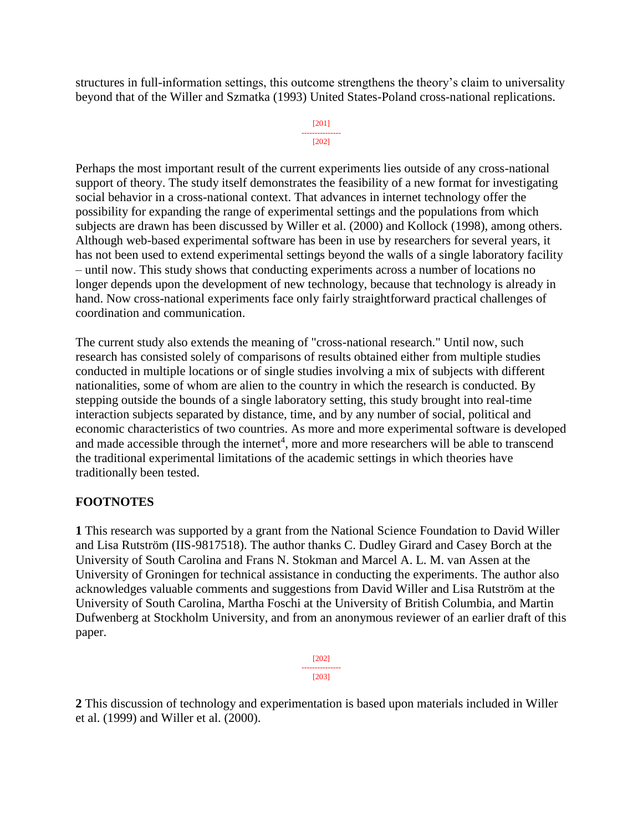structures in full-information settings, this outcome strengthens the theory's claim to universality beyond that of the Willer and Szmatka (1993) United States-Poland cross-national replications.

```
[201]
---------------
   [202]
```
Perhaps the most important result of the current experiments lies outside of any cross-national support of theory. The study itself demonstrates the feasibility of a new format for investigating social behavior in a cross-national context. That advances in internet technology offer the possibility for expanding the range of experimental settings and the populations from which subjects are drawn has been discussed by Willer et al. (2000) and Kollock (1998), among others. Although web-based experimental software has been in use by researchers for several years, it has not been used to extend experimental settings beyond the walls of a single laboratory facility – until now. This study shows that conducting experiments across a number of locations no longer depends upon the development of new technology, because that technology is already in hand. Now cross-national experiments face only fairly straightforward practical challenges of coordination and communication.

The current study also extends the meaning of "cross-national research." Until now, such research has consisted solely of comparisons of results obtained either from multiple studies conducted in multiple locations or of single studies involving a mix of subjects with different nationalities, some of whom are alien to the country in which the research is conducted. By stepping outside the bounds of a single laboratory setting, this study brought into real-time interaction subjects separated by distance, time, and by any number of social, political and economic characteristics of two countries. As more and more experimental software is developed and made accessible through the internet<sup>4</sup>, more and more researchers will be able to transcend the traditional experimental limitations of the academic settings in which theories have traditionally been tested.

## **FOOTNOTES**

**1** This research was supported by a grant from the National Science Foundation to David Willer and Lisa Rutström (IIS-9817518). The author thanks C. Dudley Girard and Casey Borch at the University of South Carolina and Frans N. Stokman and Marcel A. L. M. van Assen at the University of Groningen for technical assistance in conducting the experiments. The author also acknowledges valuable comments and suggestions from David Willer and Lisa Rutström at the University of South Carolina, Martha Foschi at the University of British Columbia, and Martin Dufwenberg at Stockholm University, and from an anonymous reviewer of an earlier draft of this paper.

> [202] --------------- [203]

**2** This discussion of technology and experimentation is based upon materials included in Willer et al. (1999) and Willer et al. (2000).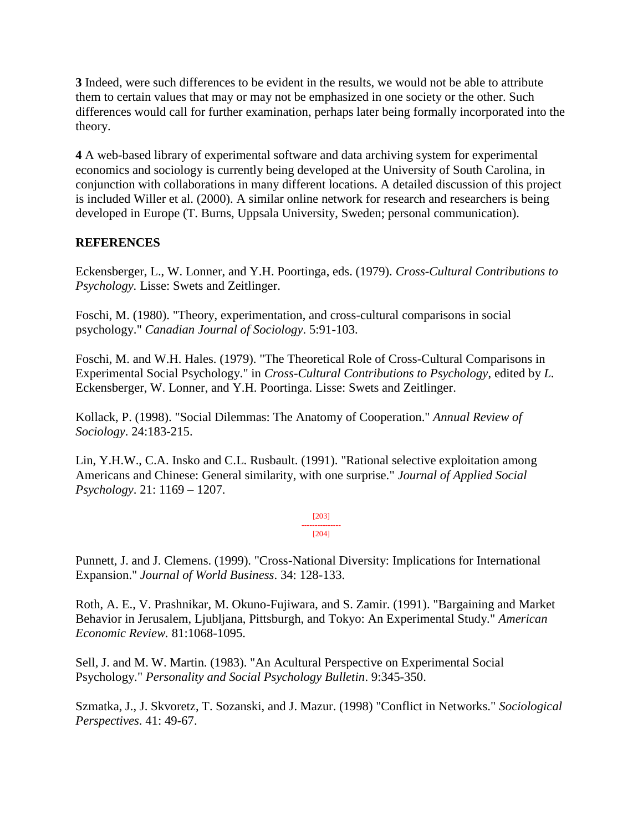**3** Indeed, were such differences to be evident in the results, we would not be able to attribute them to certain values that may or may not be emphasized in one society or the other. Such differences would call for further examination, perhaps later being formally incorporated into the theory.

**4** A web-based library of experimental software and data archiving system for experimental economics and sociology is currently being developed at the University of South Carolina, in conjunction with collaborations in many different locations. A detailed discussion of this project is included Willer et al. (2000). A similar online network for research and researchers is being developed in Europe (T. Burns, Uppsala University, Sweden; personal communication).

## **REFERENCES**

Eckensberger, L., W. Lonner, and Y.H. Poortinga, eds. (1979). *Cross-Cultural Contributions to Psychology.* Lisse: Swets and Zeitlinger.

Foschi, M. (1980). "Theory, experimentation, and cross-cultural comparisons in social psychology." *Canadian Journal of Sociology*. 5:91-103.

Foschi, M. and W.H. Hales. (1979). "The Theoretical Role of Cross-Cultural Comparisons in Experimental Social Psychology." in *Cross-Cultural Contributions to Psychology*, edited by *L.*  Eckensberger, W. Lonner, and Y.H. Poortinga. Lisse: Swets and Zeitlinger.

Kollack, P. (1998). "Social Dilemmas: The Anatomy of Cooperation." *Annual Review of Sociology*. 24:183-215.

Lin, Y.H.W., C.A. Insko and C.L. Rusbault. (1991). "Rational selective exploitation among Americans and Chinese: General similarity, with one surprise." *Journal of Applied Social Psychology*. 21: 1169 – 1207.

> [203] --------------- [204]

Punnett, J. and J. Clemens. (1999). "Cross-National Diversity: Implications for International Expansion." *Journal of World Business*. 34: 128-133.

Roth, A. E., V. Prashnikar, M. Okuno-Fujiwara, and S. Zamir. (1991). "Bargaining and Market Behavior in Jerusalem, Ljubljana, Pittsburgh, and Tokyo: An Experimental Study." *American Economic Review.* 81:1068-1095.

Sell, J. and M. W. Martin. (1983). "An Acultural Perspective on Experimental Social Psychology." *Personality and Social Psychology Bulletin*. 9:345-350.

Szmatka, J., J. Skvoretz, T. Sozanski, and J. Mazur. (1998) "Conflict in Networks." *Sociological Perspectives*. 41: 49-67.